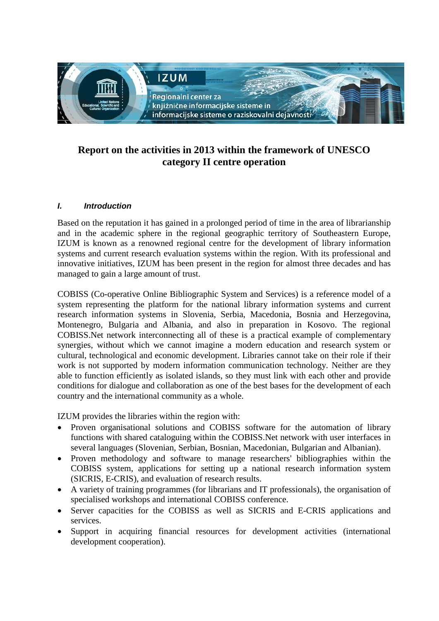

# **Report on the activities in 2013 within the framework of UNESCO category II centre operation**

# *I. Introduction*

Based on the reputation it has gained in a prolonged period of time in the area of librarianship and in the academic sphere in the regional geographic territory of Southeastern Europe, IZUM is known as a renowned regional centre for the development of library information systems and current research evaluation systems within the region. With its professional and innovative initiatives, IZUM has been present in the region for almost three decades and has managed to gain a large amount of trust.

COBISS (Co-operative Online Bibliographic System and Services) is a reference model of a system representing the platform for the national library information systems and current research information systems in Slovenia, Serbia, Macedonia, Bosnia and Herzegovina, Montenegro, Bulgaria and Albania, and also in preparation in Kosovo. The regional COBISS.Net network interconnecting all of these is a practical example of complementary synergies, without which we cannot imagine a modern education and research system or cultural, technological and economic development. Libraries cannot take on their role if their work is not supported by modern information communication technology. Neither are they able to function efficiently as isolated islands, so they must link with each other and provide conditions for dialogue and collaboration as one of the best bases for the development of each country and the international community as a whole.

IZUM provides the libraries within the region with:

- Proven organisational solutions and COBISS software for the automation of library functions with shared cataloguing within the COBISS.Net network with user interfaces in several languages (Slovenian, Serbian, Bosnian, Macedonian, Bulgarian and Albanian).
- Proven methodology and software to manage researchers' bibliographies within the COBISS system, applications for setting up a national research information system (SICRIS, E-CRIS), and evaluation of research results.
- A variety of training programmes (for librarians and IT professionals), the organisation of specialised workshops and international COBISS conference.
- Server capacities for the COBISS as well as SICRIS and E-CRIS applications and services.
- Support in acquiring financial resources for development activities (international development cooperation).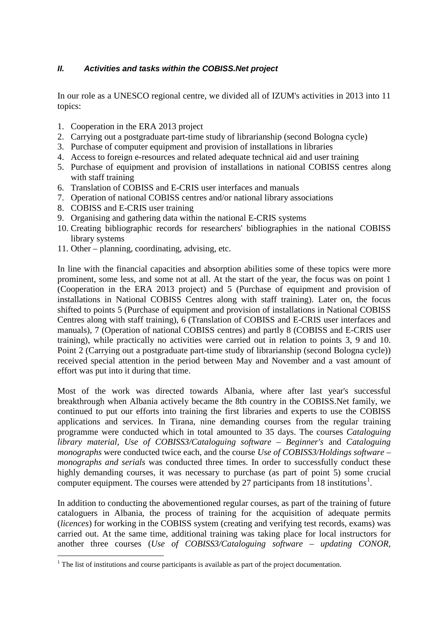# *II. Activities and tasks within the COBISS.Net project*

In our role as a UNESCO regional centre, we divided all of IZUM's activities in 2013 into 11 topics:

- 1. Cooperation in the ERA 2013 project
- 2. Carrying out a postgraduate part-time study of librarianship (second Bologna cycle)
- 3. Purchase of computer equipment and provision of installations in libraries
- 4. Access to foreign e-resources and related adequate technical aid and user training
- 5. Purchase of equipment and provision of installations in national COBISS centres along with staff training
- 6. Translation of COBISS and E-CRIS user interfaces and manuals
- 7. Operation of national COBISS centres and/or national library associations
- 8. COBISS and E-CRIS user training
- 9. Organising and gathering data within the national E-CRIS systems
- 10. Creating bibliographic records for researchers' bibliographies in the national COBISS library systems
- 11. Other planning, coordinating, advising, etc.

In line with the financial capacities and absorption abilities some of these topics were more prominent, some less, and some not at all. At the start of the year, the focus was on point 1 (Cooperation in the ERA 2013 project) and 5 (Purchase of equipment and provision of installations in National COBISS Centres along with staff training). Later on, the focus shifted to points 5 (Purchase of equipment and provision of installations in National COBISS Centres along with staff training), 6 (Translation of COBISS and E-CRIS user interfaces and manuals), 7 (Operation of national COBISS centres) and partly 8 (COBISS and E-CRIS user training), while practically no activities were carried out in relation to points 3, 9 and 10. Point 2 (Carrying out a postgraduate part-time study of librarianship (second Bologna cycle)) received special attention in the period between May and November and a vast amount of effort was put into it during that time.

Most of the work was directed towards Albania, where after last year's successful breakthrough when Albania actively became the 8th country in the COBISS.Net family, we continued to put our efforts into training the first libraries and experts to use the COBISS applications and services. In Tirana, nine demanding courses from the regular training programme were conducted which in total amounted to 35 days. The courses *Cataloguing library material*, *Use of COBISS3/Cataloguing software – Beginner's* and *Cataloguing monographs* were conducted twice each, and the course *Use of COBISS3/Holdings software – monographs and serials* was conducted three times. In order to successfully conduct these highly demanding courses, it was necessary to purchase (as part of point 5) some crucial computer equipment. The courses were attended by 27 participants from [1](#page-1-0)8 institutions<sup>1</sup>.

In addition to conducting the abovementioned regular courses, as part of the training of future cataloguers in Albania, the process of training for the acquisition of adequate permits (*licences*) for working in the COBISS system (creating and verifying test records, exams) was carried out. At the same time, additional training was taking place for local instructors for another three courses (*Use of COBISS3/Cataloguing software – updating CONOR,* 

<span id="page-1-0"></span><sup>&</sup>lt;sup>1</sup> The list of institutions and course participants is available as part of the project documentation.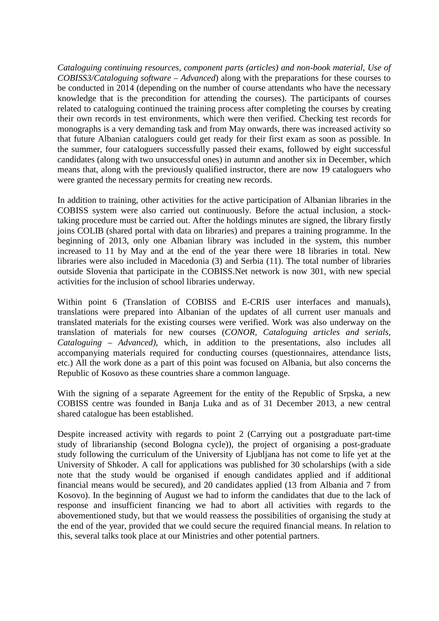*Cataloguing continuing resources, component parts (articles) and non-book material, Use of COBISS3/Cataloguing software – Advanced*) along with the preparations for these courses to be conducted in 2014 (depending on the number of course attendants who have the necessary knowledge that is the precondition for attending the courses). The participants of courses related to cataloguing continued the training process after completing the courses by creating their own records in test environments, which were then verified. Checking test records for monographs is a very demanding task and from May onwards, there was increased activity so that future Albanian cataloguers could get ready for their first exam as soon as possible. In the summer, four cataloguers successfully passed their exams, followed by eight successful candidates (along with two unsuccessful ones) in autumn and another six in December, which means that, along with the previously qualified instructor, there are now 19 cataloguers who were granted the necessary permits for creating new records.

In addition to training, other activities for the active participation of Albanian libraries in the COBISS system were also carried out continuously. Before the actual inclusion, a stocktaking procedure must be carried out. After the holdings minutes are signed, the library firstly joins COLIB (shared portal with data on libraries) and prepares a training programme. In the beginning of 2013, only one Albanian library was included in the system, this number increased to 11 by May and at the end of the year there were 18 libraries in total. New libraries were also included in Macedonia (3) and Serbia (11). The total number of libraries outside Slovenia that participate in the COBISS.Net network is now 301, with new special activities for the inclusion of school libraries underway.

Within point 6 (Translation of COBISS and E-CRIS user interfaces and manuals), translations were prepared into Albanian of the updates of all current user manuals and translated materials for the existing courses were verified. Work was also underway on the translation of materials for new courses (*CONOR, Cataloguing articles and serials, Cataloguing – Advanced)*, which, in addition to the presentations, also includes all accompanying materials required for conducting courses (questionnaires, attendance lists, etc.) All the work done as a part of this point was focused on Albania, but also concerns the Republic of Kosovo as these countries share a common language.

With the signing of a separate Agreement for the entity of the Republic of Srpska, a new COBISS centre was founded in Banja Luka and as of 31 December 2013, a new central shared catalogue has been established.

Despite increased activity with regards to point 2 (Carrying out a postgraduate part-time study of librarianship (second Bologna cycle)), the project of organising a post-graduate study following the curriculum of the University of Ljubljana has not come to life yet at the University of Shkoder. A call for applications was published for 30 scholarships (with a side note that the study would be organised if enough candidates applied and if additional financial means would be secured), and 20 candidates applied (13 from Albania and 7 from Kosovo). In the beginning of August we had to inform the candidates that due to the lack of response and insufficient financing we had to abort all activities with regards to the abovementioned study, but that we would reassess the possibilities of organising the study at the end of the year, provided that we could secure the required financial means. In relation to this, several talks took place at our Ministries and other potential partners.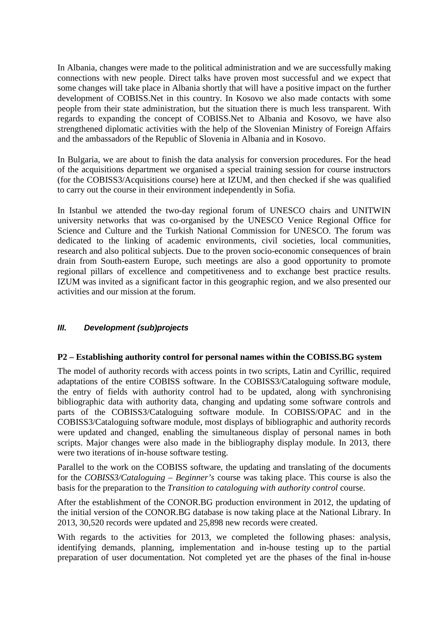In Albania, changes were made to the political administration and we are successfully making connections with new people. Direct talks have proven most successful and we expect that some changes will take place in Albania shortly that will have a positive impact on the further development of COBISS.Net in this country. In Kosovo we also made contacts with some people from their state administration, but the situation there is much less transparent. With regards to expanding the concept of COBISS.Net to Albania and Kosovo, we have also strengthened diplomatic activities with the help of the Slovenian Ministry of Foreign Affairs and the ambassadors of the Republic of Slovenia in Albania and in Kosovo.

In Bulgaria, we are about to finish the data analysis for conversion procedures. For the head of the acquisitions department we organised a special training session for course instructors (for the COBISS3/Acquisitions course) here at IZUM, and then checked if she was qualified to carry out the course in their environment independently in Sofia.

In Istanbul we attended the two-day regional forum of UNESCO chairs and UNITWIN university networks that was co-organised by the UNESCO Venice Regional Office for Science and Culture and the Turkish National Commission for UNESCO. The forum was dedicated to the linking of academic environments, civil societies, local communities, research and also political subjects. Due to the proven socio-economic consequences of brain drain from South-eastern Europe, such meetings are also a good opportunity to promote regional pillars of excellence and competitiveness and to exchange best practice results. IZUM was invited as a significant factor in this geographic region, and we also presented our activities and our mission at the forum.

# *III. Development (sub)projects*

### **P2 – Establishing authority control for personal names within the COBISS.BG system**

The model of authority records with access points in two scripts, Latin and Cyrillic, required adaptations of the entire COBISS software. In the COBISS3/Cataloguing software module, the entry of fields with authority control had to be updated, along with synchronising bibliographic data with authority data, changing and updating some software controls and parts of the COBISS3/Cataloguing software module. In COBISS/OPAC and in the COBISS3/Cataloguing software module, most displays of bibliographic and authority records were updated and changed, enabling the simultaneous display of personal names in both scripts. Major changes were also made in the bibliography display module. In 2013, there were two iterations of in-house software testing.

Parallel to the work on the COBISS software, the updating and translating of the documents for the *COBISS3/Cataloguing – Beginner's* course was taking place. This course is also the basis for the preparation to the *Transition to cataloguing with authority control* course.

After the establishment of the CONOR.BG production environment in 2012, the updating of the initial version of the CONOR.BG database is now taking place at the National Library. In 2013, 30,520 records were updated and 25,898 new records were created.

With regards to the activities for 2013, we completed the following phases: analysis, identifying demands, planning, implementation and in-house testing up to the partial preparation of user documentation. Not completed yet are the phases of the final in-house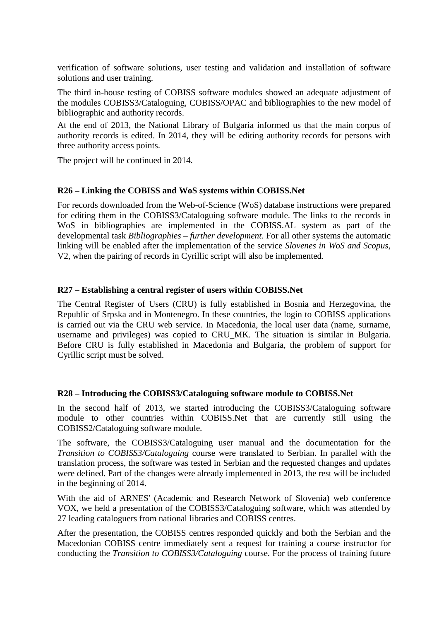verification of software solutions, user testing and validation and installation of software solutions and user training.

The third in-house testing of COBISS software modules showed an adequate adjustment of the modules COBISS3/Cataloguing, COBISS/OPAC and bibliographies to the new model of bibliographic and authority records.

At the end of 2013, the National Library of Bulgaria informed us that the main corpus of authority records is edited. In 2014, they will be editing authority records for persons with three authority access points.

The project will be continued in 2014.

### **R26 – Linking the COBISS and WoS systems within COBISS.Net**

For records downloaded from the Web-of-Science (WoS) database instructions were prepared for editing them in the COBISS3/Cataloguing software module. The links to the records in WoS in bibliographies are implemented in the COBISS.AL system as part of the developmental task *Bibliographies – further development*. For all other systems the automatic linking will be enabled after the implementation of the service *Slovenes in WoS and Scopus*, V2, when the pairing of records in Cyrillic script will also be implemented.

#### **R27 – Establishing a central register of users within COBISS.Net**

The Central Register of Users (CRU) is fully established in Bosnia and Herzegovina, the Republic of Srpska and in Montenegro. In these countries, the login to COBISS applications is carried out via the CRU web service. In Macedonia, the local user data (name, surname, username and privileges) was copied to CRU\_MK. The situation is similar in Bulgaria. Before CRU is fully established in Macedonia and Bulgaria, the problem of support for Cyrillic script must be solved.

#### **R28 – Introducing the COBISS3/Cataloguing software module to COBISS.Net**

In the second half of 2013, we started introducing the COBISS3/Cataloguing software module to other countries within COBISS.Net that are currently still using the COBISS2/Cataloguing software module.

The software, the COBISS3/Cataloguing user manual and the documentation for the *Transition to COBISS3/Cataloguing* course were translated to Serbian. In parallel with the translation process, the software was tested in Serbian and the requested changes and updates were defined. Part of the changes were already implemented in 2013, the rest will be included in the beginning of 2014.

With the aid of ARNES' (Academic and Research Network of Slovenia) web conference VOX, we held a presentation of the COBISS3/Cataloguing software, which was attended by 27 leading cataloguers from national libraries and COBISS centres.

After the presentation, the COBISS centres responded quickly and both the Serbian and the Macedonian COBISS centre immediately sent a request for training a course instructor for conducting the *Transition to COBISS3/Cataloguing* course. For the process of training future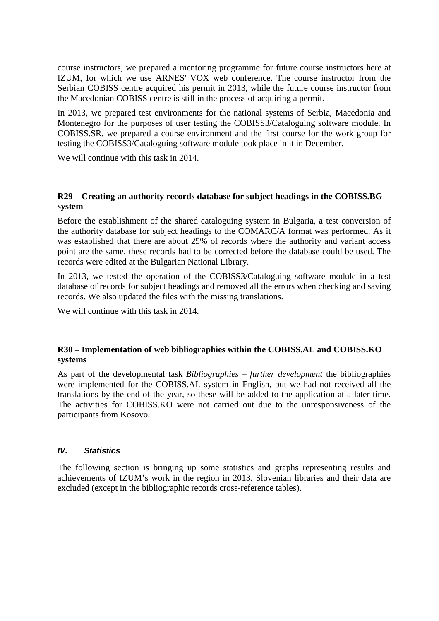course instructors, we prepared a mentoring programme for future course instructors here at IZUM, for which we use ARNES' VOX web conference. The course instructor from the Serbian COBISS centre acquired his permit in 2013, while the future course instructor from the Macedonian COBISS centre is still in the process of acquiring a permit.

In 2013, we prepared test environments for the national systems of Serbia, Macedonia and Montenegro for the purposes of user testing the COBISS3/Cataloguing software module. In COBISS.SR, we prepared a course environment and the first course for the work group for testing the COBISS3/Cataloguing software module took place in it in December.

We will continue with this task in 2014.

### **R29 – Creating an authority records database for subject headings in the COBISS.BG system**

Before the establishment of the shared cataloguing system in Bulgaria, a test conversion of the authority database for subject headings to the COMARC/A format was performed. As it was established that there are about 25% of records where the authority and variant access point are the same, these records had to be corrected before the database could be used. The records were edited at the Bulgarian National Library.

In 2013, we tested the operation of the COBISS3/Cataloguing software module in a test database of records for subject headings and removed all the errors when checking and saving records. We also updated the files with the missing translations.

We will continue with this task in 2014.

# **R30 – Implementation of web bibliographies within the COBISS.AL and COBISS.KO systems**

As part of the developmental task *Bibliographies – further development* the bibliographies were implemented for the COBISS.AL system in English, but we had not received all the translations by the end of the year, so these will be added to the application at a later time. The activities for COBISS.KO were not carried out due to the unresponsiveness of the participants from Kosovo.

# *IV. Statistics*

The following section is bringing up some statistics and graphs representing results and achievements of IZUM's work in the region in 2013. Slovenian libraries and their data are excluded (except in the bibliographic records cross-reference tables).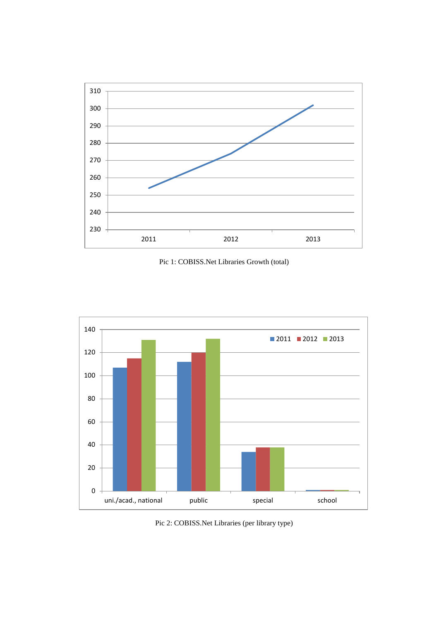

Pic 1: COBISS.Net Libraries Growth (total)



Pic 2: COBISS.Net Libraries (per library type)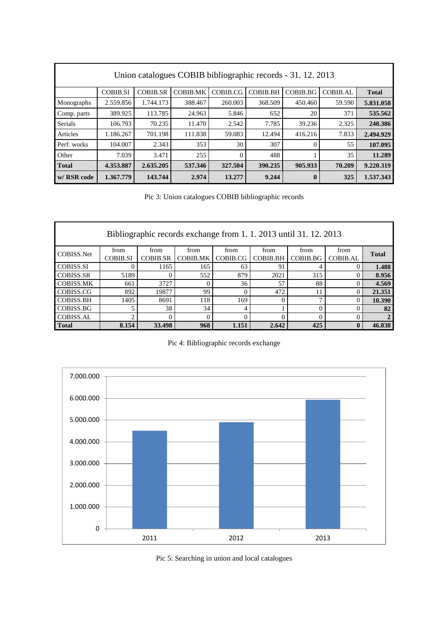| Union catalogues COBIB bibliographic records - 31. 12. 2013 |                 |                 |                 |          |                 |          |                 |              |  |  |  |  |
|-------------------------------------------------------------|-----------------|-----------------|-----------------|----------|-----------------|----------|-----------------|--------------|--|--|--|--|
|                                                             | <b>COBIB.SI</b> | <b>COBIB.SR</b> | <b>COBIB.MK</b> | COBIB.CG | <b>COBIB.BH</b> | COBIB.BG | <b>COBIB.AL</b> | <b>Total</b> |  |  |  |  |
| Monographs                                                  | 2.559.856       | 1.744.173       | 388.467         | 260.003  | 368.509         | 450.460  | 59.590          | 5.831.058    |  |  |  |  |
| Comp. parts                                                 | 389.925         | 113.785         | 24.963          | 5.846    | 652             | 20       | 371             | 535.562      |  |  |  |  |
| <b>Serials</b>                                              | 106.793         | 70.235          | 11.470          | 2.542    | 7.785           | 39.236   | 2.325           | 240.386      |  |  |  |  |
| Articles                                                    | 1.186.267       | 701.198         | 111.838         | 59.083   | 12.494          | 416.216  | 7.833           | 2.494.929    |  |  |  |  |
| Perf. works                                                 | 104.007         | 2.343           | 353             | 30       | 307             | $\Omega$ | 55              | 107.095      |  |  |  |  |
| Other                                                       | 7.039           | 3.471           | 255             | 0        | 488             |          | 35              | 11.289       |  |  |  |  |
| <b>Total</b>                                                | 4.353.887       | 2.635.205       | 537.346         | 327.504  | 390.235         | 905.933  | 70.209          | 9.220.319    |  |  |  |  |
| w/ RSR code                                                 | 1.367.779       | 143.744         | 2.974           | 13.277   | 9.244           | $\bf{0}$ | 325             | 1.537.343    |  |  |  |  |

Pic 3: Union catalogues COBIB bibliographic records

| Bibliographic records exchange from 1.1.2013 until 31.12.2013 |                 |                 |                 |          |                 |                          |              |              |  |  |  |  |
|---------------------------------------------------------------|-----------------|-----------------|-----------------|----------|-----------------|--------------------------|--------------|--------------|--|--|--|--|
| COBISS.Net                                                    | from            | from            | from            | from     | from            | from                     | from         | <b>Total</b> |  |  |  |  |
|                                                               | <b>COBIB.SI</b> | <b>COBIB.SR</b> | <b>COBIB.MK</b> | COBIB.CG | <b>COBIB.BH</b> | COBIB.BG                 | COBIB.AL     |              |  |  |  |  |
| <b>COBISS.SI</b>                                              |                 | 1165            | 165             | 63       | 91              |                          |              | 1.488        |  |  |  |  |
| <b>COBISS.SR</b>                                              | 5189            |                 | 552             | 879      | 2021            | 315                      |              | 8.956        |  |  |  |  |
| <b>COBISS.MK</b>                                              | 661             | 3727            |                 | 36       | 57              | 88                       |              | 4.569        |  |  |  |  |
| COBISS.CG                                                     | 892             | 19877           | 99              |          | 472             | 11                       |              | 21.351       |  |  |  |  |
| <b>COBISS.BH</b>                                              | 1405            | 8691            | 118             | 169      | $\theta$        | $\overline{\phantom{0}}$ |              | 10.390       |  |  |  |  |
| COBISS.BG                                                     |                 | 38              | 34              | 4        |                 |                          |              | 82           |  |  |  |  |
| <b>COBISS.AL</b>                                              |                 |                 |                 |          |                 |                          |              |              |  |  |  |  |
| <b>Total</b>                                                  | 8.154           | 33.498          | 968             | 1.151    | 2.642           | 425                      | $\mathbf{0}$ | 46.838       |  |  |  |  |

Pic 4: Bibliographic records exchange



Pic 5: Searching in union and local catalogues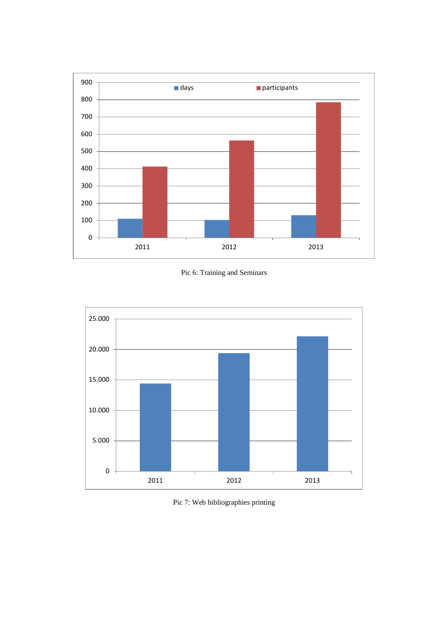

Pic 6: Training and Seminars



Pic 7: Web bibliographies printing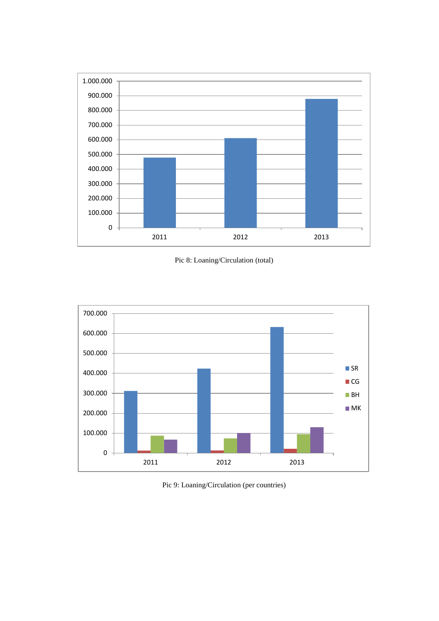